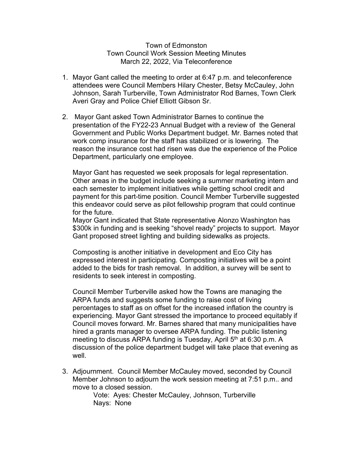## Town of Edmonston Town Council Work Session Meeting Minutes March 22, 2022, Via Teleconference

- 1. Mayor Gant called the meeting to order at 6:47 p.m. and teleconference attendees were Council Members Hilary Chester, Betsy McCauley, John Johnson, Sarah Turberville, Town Administrator Rod Barnes, Town Clerk Averi Gray and Police Chief Elliott Gibson Sr.
- 2. Mayor Gant asked Town Administrator Barnes to continue the presentation of the FY22-23 Annual Budget with a review of the General Government and Public Works Department budget. Mr. Barnes noted that work comp insurance for the staff has stabilized or is lowering. The reason the insurance cost had risen was due the experience of the Police Department, particularly one employee.

Mayor Gant has requested we seek proposals for legal representation. Other areas in the budget include seeking a summer marketing intern and each semester to implement initiatives while getting school credit and payment for this part-time position. Council Member Turberville suggested this endeavor could serve as pilot fellowship program that could continue for the future.

Mayor Gant indicated that State representative Alonzo Washington has \$300k in funding and is seeking "shovel ready" projects to support. Mayor Gant proposed street lighting and building sidewalks as projects.

Composting is another initiative in development and Eco City has expressed interest in participating. Composting initiatives will be a point added to the bids for trash removal. In addition, a survey will be sent to residents to seek interest in composting.

Council Member Turberville asked how the Towns are managing the ARPA funds and suggests some funding to raise cost of living percentages to staff as on offset for the increased inflation the country is experiencing. Mayor Gant stressed the importance to proceed equitably if Council moves forward. Mr. Barnes shared that many municipalities have hired a grants manager to oversee ARPA funding. The public listening meeting to discuss ARPA funding is Tuesday, April  $5<sup>th</sup>$  at 6:30 p.m. A discussion of the police department budget will take place that evening as well.

3. Adjournment. Council Member McCauley moved, seconded by Council Member Johnson to adjourn the work session meeting at 7:51 p.m.. and move to a closed session.

> Vote: Ayes: Chester McCauley, Johnson, Turberville Nays: None